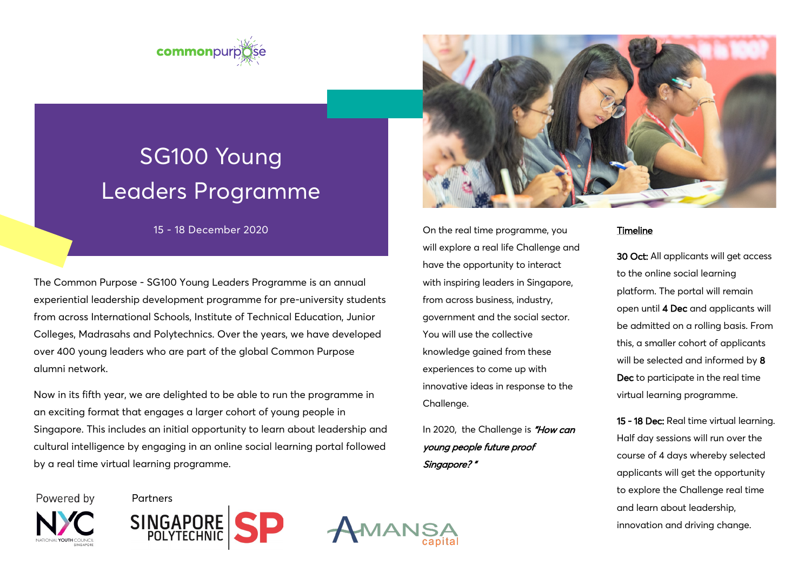



# SG100 Young Leaders Programme

15 - 18 December 2020

The Common Purpose - SG100 Young Leaders Programme is an annual experiential leadership development programme for pre-university students from across International Schools, Institute of Technical Education, Junior Colleges, Madrasahs and Polytechnics. Over the years, we have developed over 400 young leaders who are part of the global Common Purpose alumni network.

Now in its fifth year, we are delighted to be able to run the programme in an exciting format that engages a larger cohort of young people in Singapore. This includes an initial opportunity to learn about leadership and cultural intelligence by engaging in an online social learning portal followed by a real time virtual learning programme.

Powered by Partners







On the real time programme, you will explore a real life Challenge and have the opportunity to interact with inspiring leaders in Singapore, from across business, industry, government and the social sector. You will use the collective knowledge gained from these experiences to come up with innovative ideas in response to the Challenge.

In 2020, the Challenge is "How can young people future proof Singapore? "

#### Timeline

30 Oct: All applicants will get access to the online social learning platform. The portal will remain open until 4 Dec and applicants will be admitted on a rolling basis. From this, a smaller cohort of applicants will be selected and informed by 8 Dec to participate in the real time virtual learning programme.

15 - 18 Dec: Real time virtual learning. Half day sessions will run over the course of 4 days whereby selected applicants will get the opportunity to explore the Challenge real time and learn about leadership, innovation and driving change.